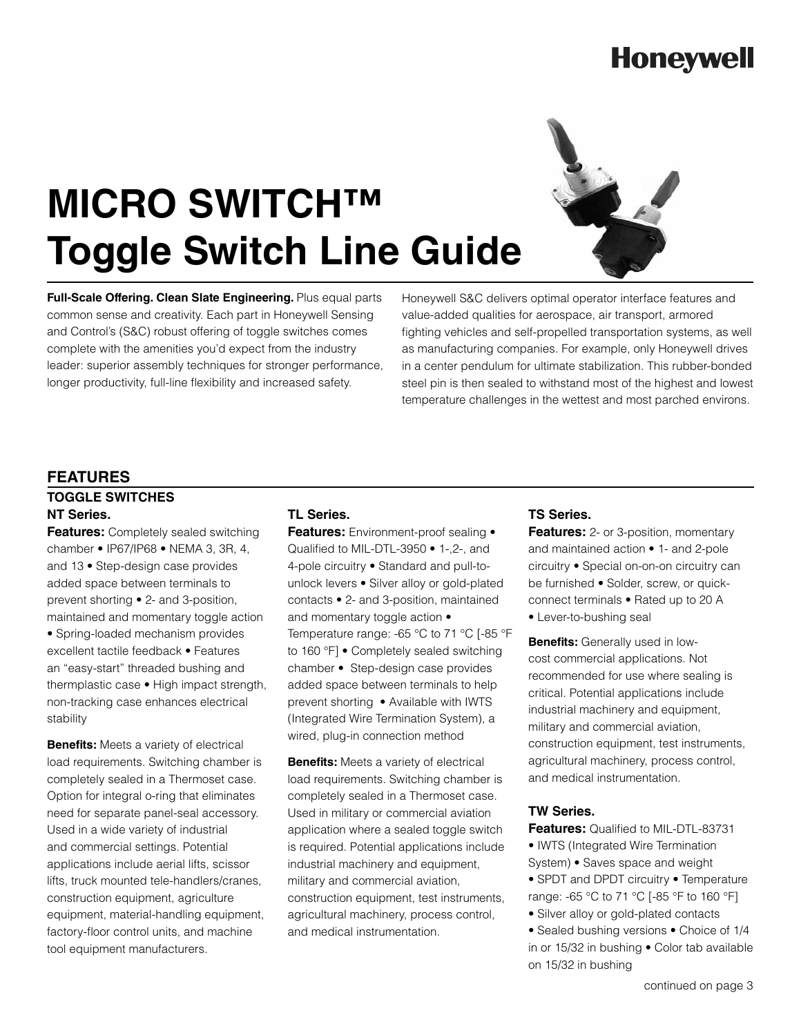## **Honeywell**

# **MICRO SWITCH™ Toggle Switch Line Guide**

**Full-Scale Offering. Clean Slate Engineering.** Plus equal parts common sense and creativity. Each part in Honeywell Sensing and Control's (S&C) robust offering of toggle switches comes complete with the amenities you'd expect from the industry leader: superior assembly techniques for stronger performance, longer productivity, full-line flexibility and increased safety.

Honeywell S&C delivers optimal operator interface features and value-added qualities for aerospace, air transport, armored fighting vehicles and self-propelled transportation systems, as well as manufacturing companies. For example, only Honeywell drives in a center pendulum for ultimate stabilization. This rubber-bonded steel pin is then sealed to withstand most of the highest and lowest temperature challenges in the wettest and most parched environs.

#### **FEATURES**

stability

### **TOGGLE SWITCHES NT Series.**

**Features:** Completely sealed switching chamber • IP67/IP68 • NEMA 3, 3R, 4, and 13 • Step-design case provides added space between terminals to prevent shorting • 2- and 3-position, maintained and momentary toggle action • Spring-loaded mechanism provides excellent tactile feedback • Features an "easy-start" threaded bushing and thermplastic case • High impact strength, non-tracking case enhances electrical

**Benefits:** Meets a variety of electrical load requirements. Switching chamber is completely sealed in a Thermoset case. Option for integral o-ring that eliminates need for separate panel-seal accessory. Used in a wide variety of industrial and commercial settings. Potential applications include aerial lifts, scissor lifts, truck mounted tele-handlers/cranes, construction equipment, agriculture equipment, material-handling equipment, factory-floor control units, and machine tool equipment manufacturers.

### **TL Series.**

**Features:** Environment-proof sealing • Qualified to MIL-DTL-3950 • 1-,2-, and 4-pole circuitry • Standard and pull-tounlock levers • Silver alloy or gold-plated contacts • 2- and 3-position, maintained and momentary toggle action • Temperature range: -65 °C to 71 °C [-85 °F to 160 °F] • Completely sealed switching chamber • Step-design case provides added space between terminals to help prevent shorting • Available with IWTS (Integrated Wire Termination System), a wired, plug-in connection method

**Benefits:** Meets a variety of electrical load requirements. Switching chamber is completely sealed in a Thermoset case. Used in military or commercial aviation application where a sealed toggle switch is required. Potential applications include industrial machinery and equipment, military and commercial aviation, construction equipment, test instruments, agricultural machinery, process control, and medical instrumentation.

#### **TS Series.**

**Features:** 2- or 3-position, momentary and maintained action • 1- and 2-pole circuitry • Special on-on-on circuitry can be furnished • Solder, screw, or quickconnect terminals • Rated up to 20 A

• Lever-to-bushing seal

**Benefits:** Generally used in lowcost commercial applications. Not recommended for use where sealing is critical. Potential applications include industrial machinery and equipment, military and commercial aviation, construction equipment, test instruments, agricultural machinery, process control, and medical instrumentation.

#### **TW Series.**

**Features:** Qualified to MIL-DTL-83731

- IWTS (Integrated Wire Termination System) • Saves space and weight
- SPDT and DPDT circuitry Temperature range: -65 °C to 71 °C [-85 °F to 160 °F]
- Silver alloy or gold-plated contacts
- Sealed bushing versions Choice of 1/4 in or 15/32 in bushing • Color tab available on 15/32 in bushing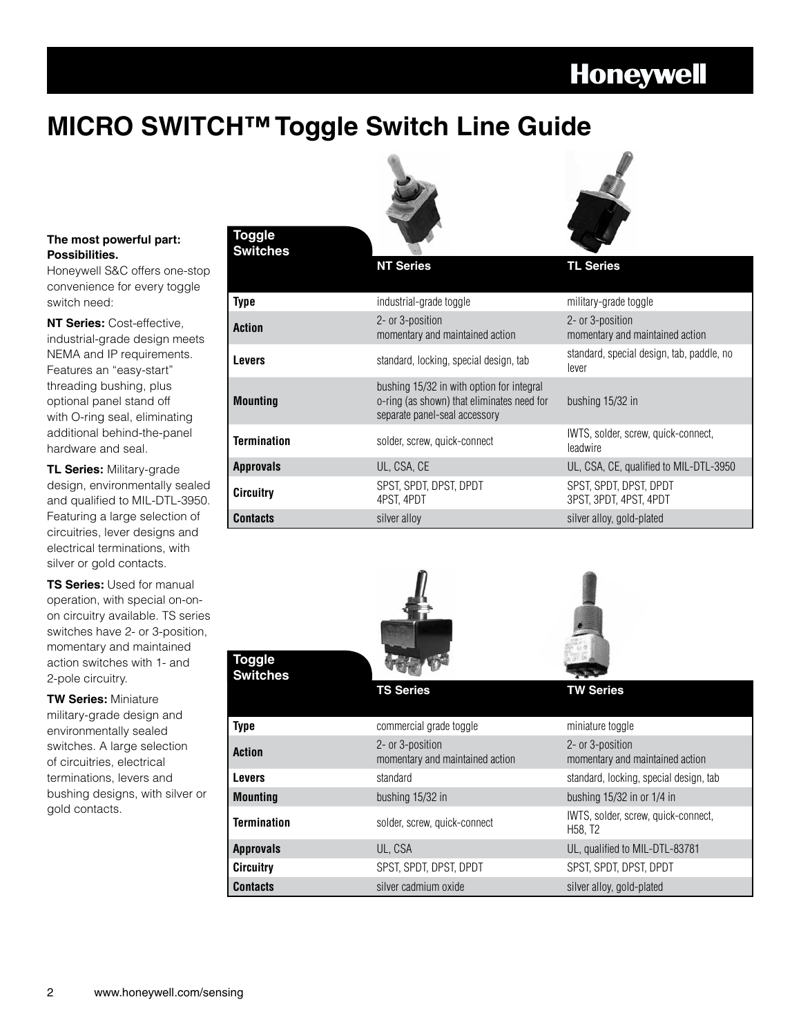### **Honeywell**

### **MICRO SWITCH™ Toggle Switch Line Guide**



**NT Series** 



#### **The most powerful part: Possibilities.**

Honeywell S&C offers one-stop convenience for every toggle switch need:

**NT Series:** Cost-effective, industrial-grade design meets NEMA and IP requirements. Features an "easy-start" threading bushing, plus optional panel stand off with O-ring seal, eliminating additional behind-the-panel hardware and seal.

**TL Series:** Military-grade design, environmentally sealed and qualified to MIL-DTL-3950. Featuring a large selection of circuitries, lever designs and electrical terminations, with silver or gold contacts.

**TS Series:** Used for manual operation, with special on-onon circuitry available. TS series switches have 2- or 3-position, momentary and maintained action switches with 1- and 2-pole circuitry.

**TW Series:** Miniature military-grade design and environmentally sealed switches. A large selection of circuitries, electrical terminations, levers and bushing designs, with silver or gold contacts.

| Toaale |  |
|--------|--|
| witche |  |

**Toggle**

| Type               | industrial-grade toggle                                                                                                  | military-grade toggle                               |
|--------------------|--------------------------------------------------------------------------------------------------------------------------|-----------------------------------------------------|
| <b>Action</b>      | 2- or 3-position<br>momentary and maintained action                                                                      | 2- or 3-position<br>momentary and maintained action |
| <b>Levers</b>      | standard, locking, special design, tab                                                                                   | standard, special design, tab, paddle, no<br>lever  |
| <b>Mounting</b>    | bushing 15/32 in with option for integral<br>o-ring (as shown) that eliminates need for<br>separate panel-seal accessory | bushing 15/32 in                                    |
| <b>Termination</b> | solder, screw, quick-connect                                                                                             | IWTS, solder, screw, quick-connect,<br>leadwire     |
| <b>Approvals</b>   | UL, CSA, CE                                                                                                              | UL, CSA, CE, qualified to MIL-DTL-3950              |
| <b>Circuitry</b>   | SPST, SPDT, DPST, DPDT<br>4PST. 4PDT                                                                                     | SPST, SPDT, DPST, DPDT<br>3PST. 3PDT. 4PST. 4PDT    |
| <b>Contacts</b>    | silver alloy                                                                                                             | silver alloy, gold-plated                           |





| <b>Switches</b>    |                                                     |                                                                         |
|--------------------|-----------------------------------------------------|-------------------------------------------------------------------------|
|                    | <b>TS Series</b>                                    | <b>TW Series</b>                                                        |
| <b>Type</b>        | commercial grade toggle                             | miniature toggle                                                        |
| <b>Action</b>      | 2- or 3-position<br>momentary and maintained action | 2- or 3-position<br>momentary and maintained action                     |
| <b>Levers</b>      | standard                                            | standard, locking, special design, tab                                  |
| <b>Mounting</b>    | bushing 15/32 in                                    | bushing $15/32$ in or $1/4$ in                                          |
| <b>Termination</b> | solder, screw, quick-connect                        | IWTS, solder, screw, quick-connect,<br>H <sub>58</sub> , T <sub>2</sub> |
| <b>Approvals</b>   | UL, CSA                                             | UL, qualified to MIL-DTL-83781                                          |
| <b>Circuitry</b>   | SPST. SPDT. DPST. DPDT                              | SPST. SPDT. DPST. DPDT                                                  |
| <b>Contacts</b>    | silver cadmium oxide                                | silver alloy, gold-plated                                               |